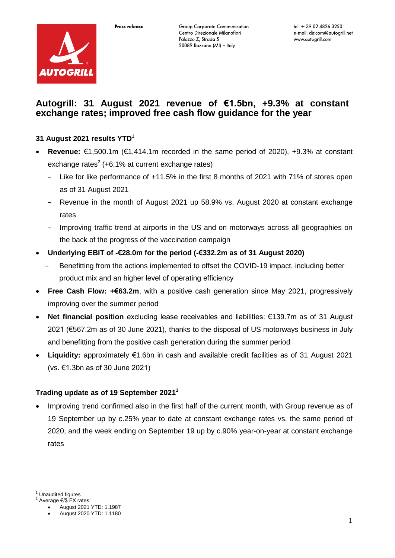

# **Autogrill: 31 August 2021 revenue of €1.5bn, +9.3% at constant exchange rates; improved free cash flow guidance for the year**

# **31 August 2021 results YTD**<sup>1</sup>

- **Revenue:** €1,500.1m (€1,414.1m recorded in the same period of 2020), +9.3% at constant exchange rates $2$  (+6.1% at current exchange rates)
	- − Like for like performance of +11.5% in the first 8 months of 2021 with 71% of stores open as of 31 August 2021
	- − Revenue in the month of August 2021 up 58.9% vs. August 2020 at constant exchange rates
	- − Improving traffic trend at airports in the US and on motorways across all geographies on the back of the progress of the vaccination campaign
- **Underlying EBIT of -€28.0m for the period (-€332.2m as of 31 August 2020)**
	- − Benefitting from the actions implemented to offset the COVID-19 impact, including better product mix and an higher level of operating efficiency
- **Free Cash Flow: +€63.2m**, with a positive cash generation since May 2021, progressively improving over the summer period
- **Net financial position** excluding lease receivables and liabilities: €139.7m as of 31 August 2021 (€567.2m as of 30 June 2021), thanks to the disposal of US motorways business in July and benefitting from the positive cash generation during the summer period
- **Liquidity:** approximately €1.6bn in cash and available credit facilities as of 31 August 2021 (vs. €1.3bn as of 30 June 2021)

### **Trading update as of 19 September 2021<sup>1</sup>**

 Improving trend confirmed also in the first half of the current month, with Group revenue as of 19 September up by c.25% year to date at constant exchange rates vs. the same period of 2020, and the week ending on September 19 up by c.90% year-on-year at constant exchange rates

<u>.</u> **Unaudited figures** 

 $2^2$  Average €/\$ FX rates: August 2021 YTD: 1.1987

August 2020 YTD: 1.1180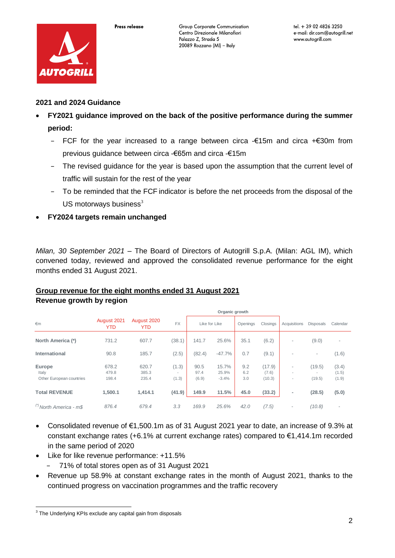

# **2021 and 2024 Guidance**

- **FY2021 guidance improved on the back of the positive performance during the summer period:**
	- − FCF for the year increased to a range between circa -€15m and circa +€30m from previous guidance between circa -€65m and circa -€15m
	- The revised guidance for the year is based upon the assumption that the current level of traffic will sustain for the rest of the year
	- − To be reminded that the FCF indicator is before the net proceeds from the disposal of the US motorways business $3$
- **FY2024 targets remain unchanged**

*Milan, 30 September 2021* – The Board of Directors of Autogrill S.p.A. (Milan: AGL IM), which convened today, reviewed and approved the consolidated revenue performance for the eight months ended 31 August 2021.

# **Group revenue for the eight months ended 31 August 2021**

|                                             | Organic growth          |                           |                                            |                       |                           |                   |                           |                          |                                              |                          |
|---------------------------------------------|-------------------------|---------------------------|--------------------------------------------|-----------------------|---------------------------|-------------------|---------------------------|--------------------------|----------------------------------------------|--------------------------|
| $\epsilon$ m                                | August 2021<br>YTD      | August 2020<br><b>YTD</b> | <b>FX</b>                                  | Like for Like         |                           | Openings          | Closings                  | Acquisitions             | <b>Disposals</b>                             | Calendar                 |
| North America (*)                           | 731.2                   | 607.7                     | (38.1)                                     | 141.7                 | 25.6%                     | 35.1              | (6.2)                     | $\overline{\phantom{a}}$ | (9.0)                                        | $\overline{\phantom{a}}$ |
| International                               | 90.8                    | 185.7                     | (2.5)                                      | (82.4)                | $-47.7%$                  | 0.7               | (9.1)                     |                          | $\overline{\phantom{a}}$                     | (1.6)                    |
| Europe<br>Italy<br>Other European countries | 678.2<br>479.8<br>198.4 | 620.7<br>385.3<br>235.4   | (1.3)<br>$\overline{\phantom{a}}$<br>(1.3) | 90.5<br>97.4<br>(6.9) | 15.7%<br>25.9%<br>$-3.4%$ | 9.2<br>6.2<br>3.0 | (17.9)<br>(7.6)<br>(10.3) |                          | (19.5)<br>$\overline{\phantom{a}}$<br>(19.5) | (3.4)<br>(1.5)<br>(1.9)  |
| <b>Total REVENUE</b>                        | 1.500.1                 | 1.414.1                   | (41.9)                                     | 149.9                 | 11.5%                     | 45.0              | (33.2)                    | ٠                        | (28.5)                                       | (5.0)                    |
| <sup>(*)</sup> North America - m\$          | 876.4                   | 679.4                     | 3.3                                        | 169.9                 | 25.6%                     | 42.0              | (7.5)                     | $\overline{\phantom{0}}$ | (10.8)                                       | $\overline{\phantom{a}}$ |

**Revenue growth by region** 

- Consolidated revenue of €1,500.1m as of 31 August 2021 year to date, an increase of 9.3% at constant exchange rates (+6.1% at current exchange rates) compared to €1,414.1m recorded in the same period of 2020
- Like for like revenue performance: +11.5%
	- − 71% of total stores open as of 31 August 2021
- Revenue up 58.9% at constant exchange rates in the month of August 2021, thanks to the continued progress on vaccination programmes and the traffic recovery

 3 The Underlying KPIs exclude any capital gain from disposals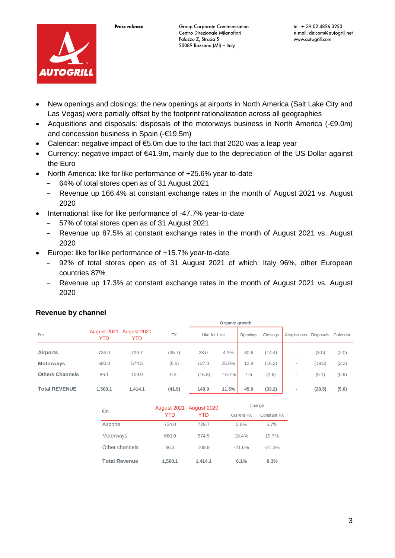

- New openings and closings: the new openings at airports in North America (Salt Lake City and Las Vegas) were partially offset by the footprint rationalization across all geographies
- Acquisitions and disposals: disposals of the motorways business in North America (-€9.0m) and concession business in Spain (-€19.5m)
- Calendar: negative impact of €5.0m due to the fact that 2020 was a leap year
- Currency: negative impact of €41.9m, mainly due to the depreciation of the US Dollar against the Euro
- North America: like for like performance of +25.6% year-to-date
	- − 64% of total stores open as of 31 August 2021
	- Revenue up 166.4% at constant exchange rates in the month of August 2021 vs. August 2020
- International: like for like performance of -47.7% year-to-date
	- − 57% of total stores open as of 31 August 2021
	- − Revenue up 87.5% at constant exchange rates in the month of August 2021 vs. August 2020
- Europe: like for like performance of +15.7% year-to-date
	- − 92% of total stores open as of 31 August 2021 of which: Italy 96%, other European countries 87%
	- Revenue up 17.3% at constant exchange rates in the month of August 2021 vs. August 2020

|                        | Organic growth     |                    |           |               |          |          |          |                          |                  |          |
|------------------------|--------------------|--------------------|-----------|---------------|----------|----------|----------|--------------------------|------------------|----------|
| $\epsilon$ m           | August 2021<br>YTD | August 2020<br>YTD | <b>FX</b> | Like for Like |          | Openings | Closings | <b>Acquisitions</b>      | <b>Disposals</b> | Calendar |
| <b>Airports</b>        | 734.0              | 729.7              | (35.7)    | 28.6          | 4.2%     | 30.6     | (14.4)   | $\overline{\phantom{a}}$ | (3.0)            | (2.0)    |
| <b>Motorways</b>       | 680.0              | 574.5              | (6.5)     | 137.0         | 25.8%    | 12.8     | (16.2)   | $\overline{\phantom{a}}$ | (19.5)           | (2.2)    |
| <b>Others Channels</b> | 86.1               | 109.9              | 0.3       | (15.8)        | $-15.7%$ | 1.6      | (2.6)    |                          | (6.1)            | (0.9)    |
| <b>Total REVENUE</b>   | 1.500.1            | 1,414.1            | (41.9)    | 149.9         | 11.5%    | 45.0     | (33.2)   | $\sim$                   | (28.5)           | (5.0)    |

### **Revenue by channel**

|                      |         | August 2021 August 2020 | Change     |             |  |
|----------------------|---------|-------------------------|------------|-------------|--|
| €m                   | YTD     | YTD                     | Current FX | Constant FX |  |
| Airports             | 734.0   | 729.7                   | 0.6%       | 5.7%        |  |
| Motorways            | 680.0   | 574.5                   | 18.4%      | 19.7%       |  |
| Other channels       | 86.1    | 109.9                   | $-21.6%$   | $-21.3%$    |  |
| <b>Total Revenue</b> | 1,500.1 | 1.414.1                 | 6.1%       | 9.3%        |  |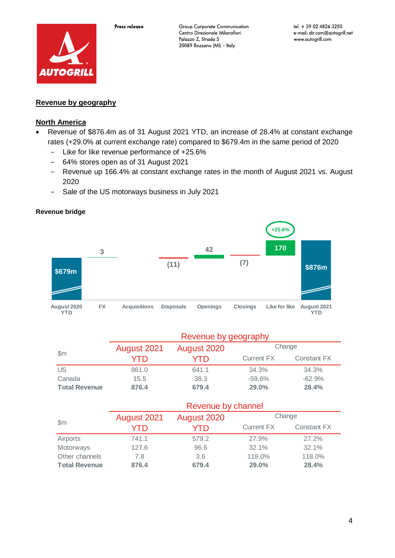

# **Revenue by geography**

### **North America**

- Revenue of \$876.4m as of 31 August 2021 YTD, an increase of 28.4% at constant exchange rates (+29.0% at current exchange rate) compared to \$679.4m in the same period of 2020
	- − Like for like revenue performance of +25.6%
	- − 64% stores open as of 31 August 2021
	- − Revenue up 166.4% at constant exchange rates in the month of August 2021 vs. August 2020
	- − Sale of the US motorways business in July 2021

#### **Revenue bridge**



|                      | Revenue by geography       |       |                   |             |  |  |
|----------------------|----------------------------|-------|-------------------|-------------|--|--|
|                      | August 2021<br>August 2020 |       | Change            |             |  |  |
| $\mathsf{Sm}$        | YTD                        | YTD   | <b>Current FX</b> | Constant FX |  |  |
| <b>US</b>            | 861.0                      | 641.1 | 34.3%             | 34.3%       |  |  |
| Canada               | 15.5                       | 38.3  | $-59.6\%$         | $-62.9%$    |  |  |
| <b>Total Revenue</b> | 876.4                      | 679.4 | 29.0%             | 28.4%       |  |  |

|                      | Revenue by channel |             |                   |             |  |  |
|----------------------|--------------------|-------------|-------------------|-------------|--|--|
|                      | August 2021        | August 2020 | Change            |             |  |  |
| $\mathsf{Sm}$        | YTD                | YTD         | <b>Current FX</b> | Constant FX |  |  |
| Airports             | 741.1              | 579.2       | 27.9%             | 27.2%       |  |  |
| Motorways            | 127.6              | 96.6        | 32.1%             | 32.1%       |  |  |
| Other channels       | 7.8                | 3.6         | 118.0%            | 118.0%      |  |  |
| <b>Total Revenue</b> | 876.4              | 679.4       | 29.0%             | 28.4%       |  |  |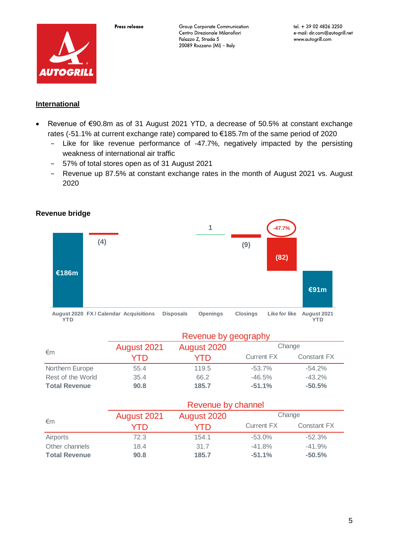

## **International**

- Revenue of €90.8m as of 31 August 2021 YTD, a decrease of 50.5% at constant exchange rates (-51.1% at current exchange rate) compared to €185.7m of the same period of 2020
	- − Like for like revenue performance of -47.7%, negatively impacted by the persisting weakness of international air traffic
	- − 57% of total stores open as of 31 August 2021
	- − Revenue up 87.5% at constant exchange rates in the month of August 2021 vs. August 2020

### **Revenue bridge**



|                      | Revenue by geography |             |            |             |  |  |
|----------------------|----------------------|-------------|------------|-------------|--|--|
| €m                   | August 2021          | August 2020 | Change     |             |  |  |
|                      | YTD                  | YTD.        | Current FX | Constant FX |  |  |
| Northern Europe      | 55.4                 | 119.5       | $-53.7\%$  | $-54.2\%$   |  |  |
| Rest of the World    | 35.4                 | 66.2        | $-46.5%$   | $-43.2%$    |  |  |
| <b>Total Revenue</b> | 90.8                 | 185.7       | $-51.1%$   | $-50.5%$    |  |  |

|                      | Revenue by channel         |       |                   |             |  |  |
|----------------------|----------------------------|-------|-------------------|-------------|--|--|
|                      | August 2021<br>August 2020 |       | Change            |             |  |  |
| €m                   | YTD                        | YTD   | <b>Current FX</b> | Constant FX |  |  |
| Airports             | 72.3                       | 154.1 | $-53.0%$          | $-52.3%$    |  |  |
| Other channels       | 18.4                       | 31.7  | $-41.8%$          | $-41.9%$    |  |  |
| <b>Total Revenue</b> | 90.8                       | 185.7 | $-51.1%$          | $-50.5%$    |  |  |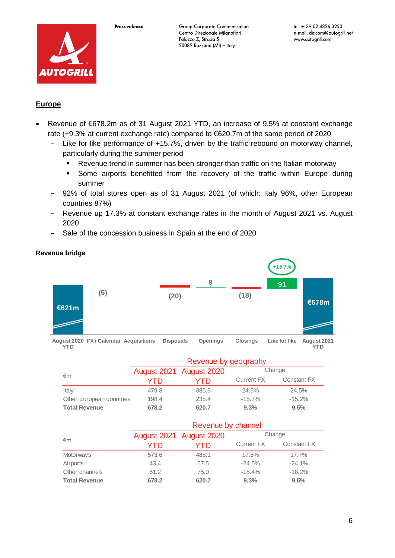

# **Europe**

- Revenue of €678.2m as of 31 August 2021 YTD, an increase of 9.5% at constant exchange rate (+9.3% at current exchange rate) compared to €620.7m of the same period of 2020
	- − Like for like performance of +15.7%, driven by the traffic rebound on motorway channel, particularly during the summer period
		- Revenue trend in summer has been stronger than traffic on the Italian motorway
		- Some airports benefitted from the recovery of the traffic within Europe during summer
	- 92% of total stores open as of 31 August 2021 (of which: Italy 96%, other European countries 87%)
	- − Revenue up 17.3% at constant exchange rates in the month of August 2021 vs. August 2020
	- − Sale of the concession business in Spain at the end of 2020



**August 2020 FX / Calendar Acquisitions Disposals Openings Closings Like for like August 2021 YTD** August 2021

|                          | Revenue by geography    |       |                   |             |  |  |
|--------------------------|-------------------------|-------|-------------------|-------------|--|--|
|                          | August 2021 August 2020 |       | Change            |             |  |  |
| €m                       | YTD                     | YTD   | <b>Current FX</b> | Constant FX |  |  |
| Italy                    | 479.8                   | 385.3 | 24.5%             | 24.5%       |  |  |
| Other European countries | 198.4                   | 235.4 | $-15.7\%$         | $-15.2%$    |  |  |
| <b>Total Revenue</b>     | 678.2                   | 620.7 | 9.3%              | 9.5%        |  |  |

|                      | Revenue by channel      |       |                   |                    |  |  |
|----------------------|-------------------------|-------|-------------------|--------------------|--|--|
|                      | August 2021 August 2020 |       | Change            |                    |  |  |
| $\epsilon$ m         | YTD                     | YTD   | <b>Current FX</b> | <b>Constant FX</b> |  |  |
| Motorways            | 573.6                   | 488.1 | 17.5%             | 17.7%              |  |  |
| Airports             | 43.4                    | 57.5  | $-24.5%$          | $-24.1%$           |  |  |
| Other channels       | 61.2                    | 75.0  | $-18.4%$          | $-18.2%$           |  |  |
| <b>Total Revenue</b> | 678.2                   | 620.7 | 9.3%              | 9.5%               |  |  |

### **Revenue bridge**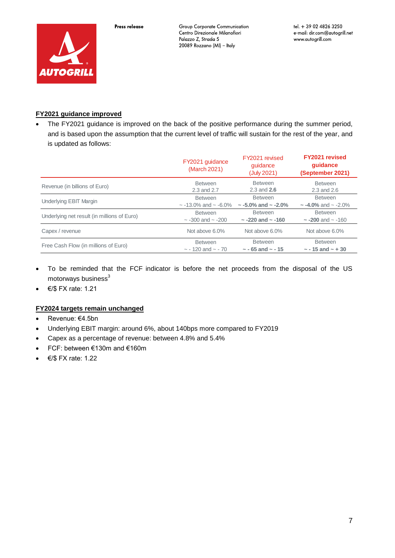

#### **FY2021 guidance improved**

 The FY2021 guidance is improved on the back of the positive performance during the summer period, and is based upon the assumption that the current level of traffic will sustain for the rest of the year, and is updated as follows:

|                                             | FY2021 guidance<br>(March 2021) | FY2021 revised<br>guidance<br>(July 2021) | <b>FY2021 revised</b><br>quidance<br>(September 2021) |
|---------------------------------------------|---------------------------------|-------------------------------------------|-------------------------------------------------------|
| Revenue (in billions of Euro)               | <b>Between</b>                  | <b>Between</b>                            | <b>Between</b>                                        |
|                                             | 2.3 and 2.7                     | $2.3$ and $2.6$                           | 2.3 and 2.6                                           |
| Underlying EBIT Margin                      | <b>Between</b>                  | <b>Between</b>                            | <b>Between</b>                                        |
|                                             | $\sim$ -13.0% and $\sim$ -6.0%  | $\sim$ -5.0% and $\sim$ -2.0%             | $\sim$ -4.0% and $\sim$ -2.0%                         |
| Underlying net result (in millions of Euro) | <b>Between</b>                  | <b>Between</b>                            | <b>Between</b>                                        |
|                                             | $\sim$ -300 and $\sim$ -200     | $\sim$ -220 and $\sim$ -160               | $\sim$ -200 and $\sim$ -160                           |
| Capex / revenue                             | Not above 6.0%                  | Not above 6.0%                            | Not above 6.0%                                        |
| Free Cash Flow (in millions of Euro)        | <b>Between</b>                  | <b>Between</b>                            | <b>Between</b>                                        |
|                                             | $\sim$ - 120 and $\sim$ - 70    | $\sim$ - 65 and $\sim$ - 15               | $\sim$ - 15 and $\sim$ + 30                           |

- To be reminded that the FCF indicator is before the net proceeds from the disposal of the US motorways business<sup>3</sup>
- $\bullet$   $\in$ / $\$$  FX rate: 1.21

#### **FY2024 targets remain unchanged**

- Revenue: €4.5bn
- Underlying EBIT margin: around 6%, about 140bps more compared to FY2019
- Capex as a percentage of revenue: between 4.8% and 5.4%
- FCF: between €130m and €160m
- $\bullet$   $\in$ /\$ FX rate: 1.22